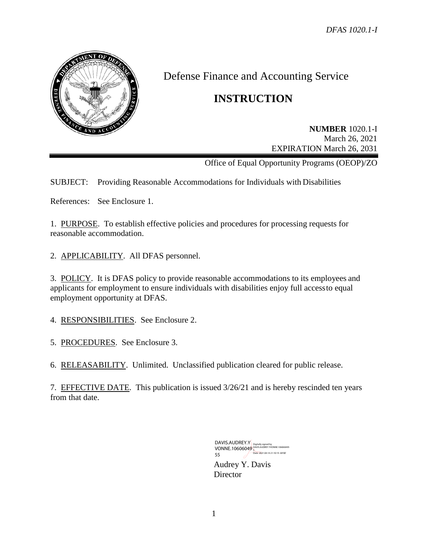

# Defense Finance and Accounting Service

# **INSTRUCTION**

**NUMBER** 1020.1-I March 26, 2021 EXPIRATION March 26, 2031

Office of Equal Opportunity Programs (OEOP)/ZO

SUBJECT: Providing Reasonable Accommodations for Individuals with Disabilities

References: See Enclosure 1.

1. PURPOSE. To establish effective policies and procedures for processing requests for reasonable accommodation.

2. APPLICABILITY. All DFAS personnel.

3. POLICY. It is DFAS policy to provide reasonable accommodations to its employees and applicants for employment to ensure individuals with disabilities enjoy full accessto equal employment opportunity at DFAS.

4. RESPONSIBILITIES. See Enclosure 2.

5. PROCEDURES. See Enclosure 3.

6. RELEASABILITY. Unlimited. Unclassified publication cleared for public release.

7. EFFECTIVE DATE. This publication is issued 3/26/21 and is hereby rescinded ten years from that date.

> DAVIS.AUDREY.Y VONNE.10606049 55 Digitally signed by DAVIS.AUDREY.YVONNE.106060495 5 Date: 2021.04.14 21:10:19 -04'00'

 Audrey Y. Davis **Director**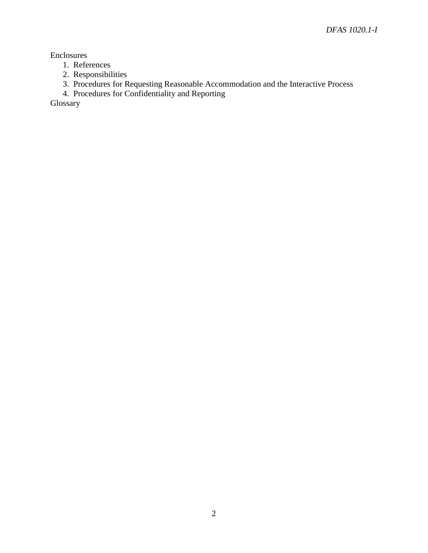Enclosures

- 1. References
- 2. Responsibilities
- 3. Procedures for Requesting Reasonable Accommodation and the Interactive Process
- 4. Procedures for Confidentiality and Reporting

Glossary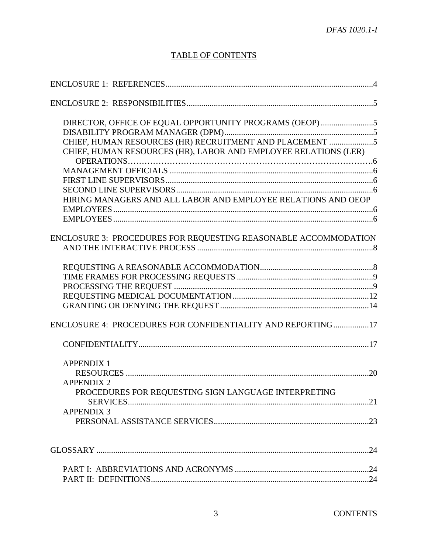## **TABLE OF CONTENTS**

| DIRECTOR, OFFICE OF EQUAL OPPORTUNITY PROGRAMS (OEOP) 5<br>CHIEF, HUMAN RESOURCES (HR) RECRUITMENT AND PLACEMENT 5<br>CHIEF, HUMAN RESOURCES (HR), LABOR AND EMPLOYEE RELATIONS (LER) |
|---------------------------------------------------------------------------------------------------------------------------------------------------------------------------------------|
|                                                                                                                                                                                       |
|                                                                                                                                                                                       |
|                                                                                                                                                                                       |
| HIRING MANAGERS AND ALL LABOR AND EMPLOYEE RELATIONS AND OEOP                                                                                                                         |
|                                                                                                                                                                                       |
|                                                                                                                                                                                       |
| ENCLOSURE 3: PROCEDURES FOR REQUESTING REASONABLE ACCOMMODATION                                                                                                                       |
|                                                                                                                                                                                       |
|                                                                                                                                                                                       |
|                                                                                                                                                                                       |
|                                                                                                                                                                                       |
|                                                                                                                                                                                       |
| ENCLOSURE 4: PROCEDURES FOR CONFIDENTIALITY AND REPORTING17                                                                                                                           |
|                                                                                                                                                                                       |
| <b>APPENDIX 1</b><br><b>APPENDIX 2</b>                                                                                                                                                |
| PROCEDURES FOR REQUESTING SIGN LANGUAGE INTERPRETING                                                                                                                                  |
| <b>APPENDIX 3</b>                                                                                                                                                                     |
|                                                                                                                                                                                       |
|                                                                                                                                                                                       |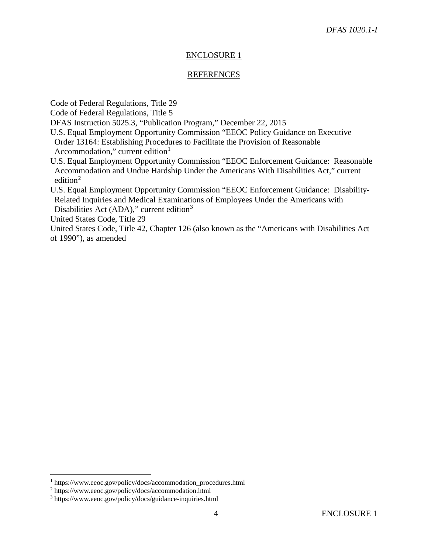## ENCLOSURE 1

#### REFERENCES

Code of Federal Regulations, Title 29

Code of Federal Regulations, Title 5

DFAS Instruction 5025.3, "Publication Program," December 22, 2015

U.S. Equal Employment Opportunity Commission "EEOC Policy Guidance on Executive Order 13164: Establishing Procedures to Facilitate the Provision of Reasonable Accommodation," current edition $<sup>1</sup>$  $<sup>1</sup>$  $<sup>1</sup>$ </sup>

- U.S. Equal Employment Opportunity Commission "EEOC Enforcement Guidance: Reasonable Accommodation and Undue Hardship Under the Americans With Disabilities Act," current edition $2$
- U.S. Equal Employment Opportunity Commission "EEOC Enforcement Guidance: Disability- Related Inquiries and Medical Examinations of Employees Under the Americans with Disabilities Act (ADA)," current edition<sup>[3](#page-3-2)</sup>

United States Code, Title 29

United States Code, Title 42, Chapter 126 (also known as the "Americans with Disabilities Act of 1990"), as amended

<span id="page-3-0"></span><sup>&</sup>lt;sup>1</sup> https://www.eeoc.gov/policy/docs/accommodation\_procedures.html

<span id="page-3-1"></span><sup>2</sup> https://www.eeoc.gov/policy/docs/accommodation.html

<span id="page-3-2"></span><sup>3</sup> https://www.eeoc.gov/policy/docs/guidance-inquiries.html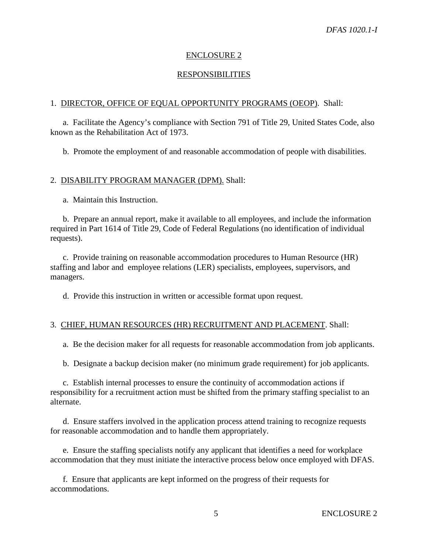## ENCLOSURE 2

## **RESPONSIBILITIES**

#### 1. DIRECTOR, OFFICE OF EQUAL OPPORTUNITY PROGRAMS (OEOP). Shall:

a. Facilitate the Agency's compliance with Section 791 of Title 29, United States Code, also known as the Rehabilitation Act of 1973.

b. Promote the employment of and reasonable accommodation of people with disabilities.

## 2. DISABILITY PROGRAM MANAGER (DPM). Shall:

a. Maintain this Instruction.

b. Prepare an annual report, make it available to all employees, and include the information required in Part 1614 of Title 29, Code of Federal Regulations (no identification of individual requests).

c. Provide training on reasonable accommodation procedures to Human Resource (HR) staffing and labor and employee relations (LER) specialists, employees, supervisors, and managers.

d. Provide this instruction in written or accessible format upon request.

## 3. CHIEF, HUMAN RESOURCES (HR) RECRUITMENT AND PLACEMENT. Shall:

a. Be the decision maker for all requests for reasonable accommodation from job applicants.

b. Designate a backup decision maker (no minimum grade requirement) for job applicants.

c. Establish internal processes to ensure the continuity of accommodation actions if responsibility for a recruitment action must be shifted from the primary staffing specialist to an alternate.

d. Ensure staffers involved in the application process attend training to recognize requests for reasonable accommodation and to handle them appropriately.

e. Ensure the staffing specialists notify any applicant that identifies a need for workplace accommodation that they must initiate the interactive process below once employed with DFAS.

f. Ensure that applicants are kept informed on the progress of their requests for accommodations.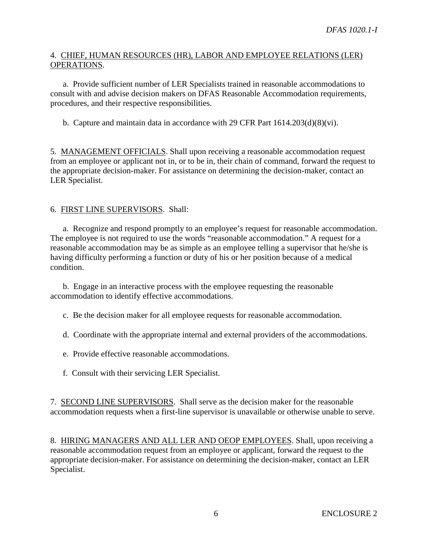## 4. CHIEF, HUMAN RESOURCES (HR), LABOR AND EMPLOYEE RELATIONS (LER) OPERATIONS.

a. Provide sufficient number of LER Specialists trained in reasonable accommodations to consult with and advise decision makers on DFAS Reasonable Accommodation requirements, procedures, and their respective responsibilities.

b. Capture and maintain data in accordance with 29 CFR Part 1614.203(d)(8)(vi).

5. MANAGEMENT OFFICIALS. Shall upon receiving a reasonable accommodation request from an employee or applicant not in, or to be in, their chain of command, forward the request to the appropriate decision-maker. For assistance on determining the decision-maker, contact an LER Specialist.

## 6. FIRST LINE SUPERVISORS. Shall:

a. Recognize and respond promptly to an employee's request for reasonable accommodation. The employee is not required to use the words "reasonable accommodation." A request for a reasonable accommodation may be as simple as an employee telling a supervisor that he/she is having difficulty performing a function or duty of his or her position because of a medical condition.

b. Engage in an interactive process with the employee requesting the reasonable accommodation to identify effective accommodations.

- c. Be the decision maker for all employee requests for reasonable accommodation.
- d. Coordinate with the appropriate internal and external providers of the accommodations.
- e. Provide effective reasonable accommodations.
- f. Consult with their servicing LER Specialist.

7. SECOND LINE SUPERVISORS. Shall serve as the decision maker for the reasonable accommodation requests when a first-line supervisor is unavailable or otherwise unable to serve.

8. HIRING MANAGERS AND ALL LER AND OEOP EMPLOYEES. Shall, upon receiving a reasonable accommodation request from an employee or applicant, forward the request to the appropriate decision-maker. For assistance on determining the decision-maker, contact an LER Specialist.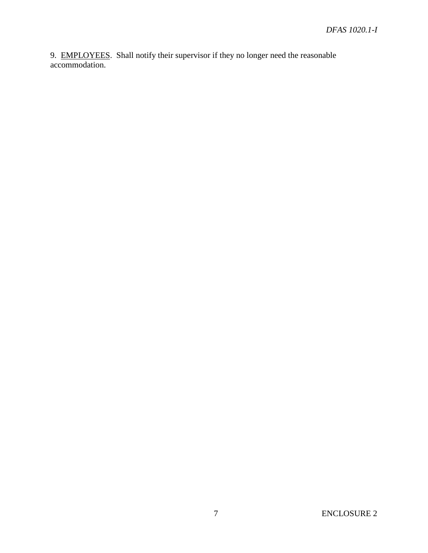9. EMPLOYEES. Shall notify their supervisor if they no longer need the reasonable accommodation.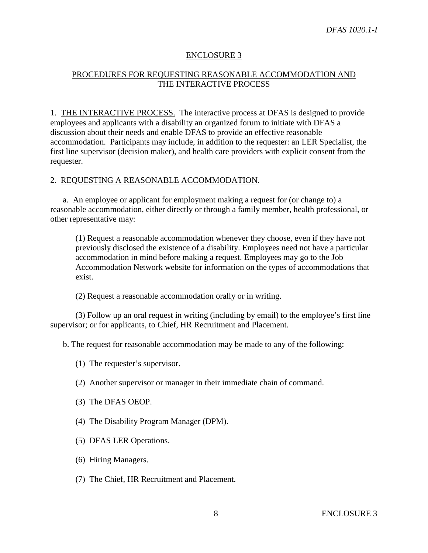## ENCLOSURE 3

## PROCEDURES FOR REQUESTING REASONABLE ACCOMMODATION AND THE INTERACTIVE PROCESS

1. THE INTERACTIVE PROCESS. The interactive process at DFAS is designed to provide employees and applicants with a disability an organized forum to initiate with DFAS a discussion about their needs and enable DFAS to provide an effective reasonable accommodation. Participants may include, in addition to the requester: an LER Specialist, the first line supervisor (decision maker), and health care providers with explicit consent from the requester.

## 2. REQUESTING A REASONABLE ACCOMMODATION.

a. An employee or applicant for employment making a request for (or change to) a reasonable accommodation, either directly or through a family member, health professional, or other representative may:

(1) Request a reasonable accommodation whenever they choose, even if they have not previously disclosed the existence of a disability. Employees need not have a particular accommodation in mind before making a request. Employees may go to the Job Accommodation Network website for information on the types of accommodations that exist.

(2) Request a reasonable accommodation orally or in writing.

(3) Follow up an oral request in writing (including by email) to the employee's first line supervisor; or for applicants, to Chief, HR Recruitment and Placement.

b. The request for reasonable accommodation may be made to any of the following:

- (1) The requester's supervisor.
- (2) Another supervisor or manager in their immediate chain of command.
- (3) The DFAS OEOP.
- (4) The Disability Program Manager (DPM).
- (5) DFAS LER Operations.
- (6) Hiring Managers.
- (7) The Chief, HR Recruitment and Placement.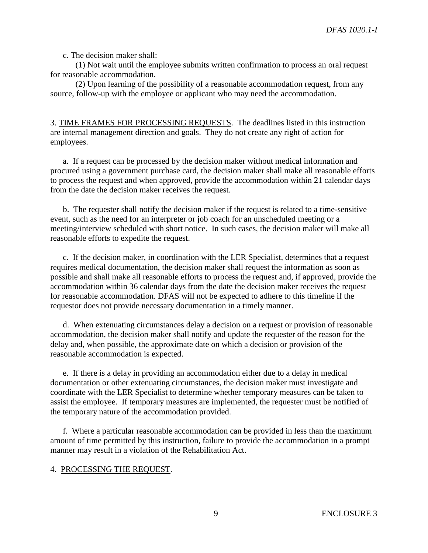c. The decision maker shall:

(1) Not wait until the employee submits written confirmation to process an oral request for reasonable accommodation.

(2) Upon learning of the possibility of a reasonable accommodation request, from any source, follow-up with the employee or applicant who may need the accommodation.

3. TIME FRAMES FOR PROCESSING REQUESTS. The deadlines listed in this instruction are internal management direction and goals. They do not create any right of action for employees.

a. If a request can be processed by the decision maker without medical information and procured using a government purchase card, the decision maker shall make all reasonable efforts to process the request and when approved, provide the accommodation within 21 calendar days from the date the decision maker receives the request.

b. The requester shall notify the decision maker if the request is related to a time-sensitive event, such as the need for an interpreter or job coach for an unscheduled meeting or a meeting/interview scheduled with short notice. In such cases, the decision maker will make all reasonable efforts to expedite the request.

c. If the decision maker, in coordination with the LER Specialist, determines that a request requires medical documentation, the decision maker shall request the information as soon as possible and shall make all reasonable efforts to process the request and, if approved, provide the accommodation within 36 calendar days from the date the decision maker receives the request for reasonable accommodation. DFAS will not be expected to adhere to this timeline if the requestor does not provide necessary documentation in a timely manner.

d. When extenuating circumstances delay a decision on a request or provision of reasonable accommodation, the decision maker shall notify and update the requester of the reason for the delay and, when possible, the approximate date on which a decision or provision of the reasonable accommodation is expected.

e. If there is a delay in providing an accommodation either due to a delay in medical documentation or other extenuating circumstances, the decision maker must investigate and coordinate with the LER Specialist to determine whether temporary measures can be taken to assist the employee. If temporary measures are implemented, the requester must be notified of the temporary nature of the accommodation provided.

f. Where a particular reasonable accommodation can be provided in less than the maximum amount of time permitted by this instruction, failure to provide the accommodation in a prompt manner may result in a violation of the Rehabilitation Act.

## 4. PROCESSING THE REQUEST.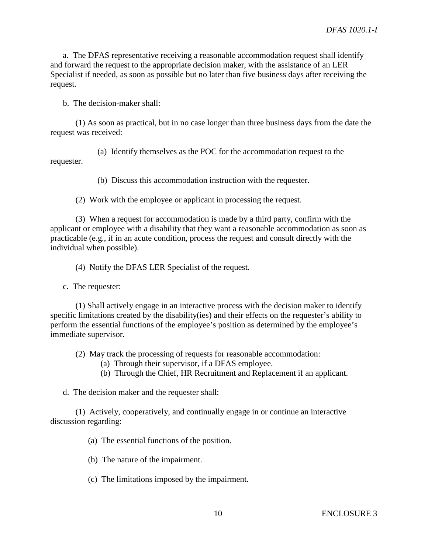a. The DFAS representative receiving a reasonable accommodation request shall identify and forward the request to the appropriate decision maker, with the assistance of an LER Specialist if needed, as soon as possible but no later than five business days after receiving the request.

b. The decision-maker shall:

(1) As soon as practical, but in no case longer than three business days from the date the request was received:

 (a) Identify themselves as the POC for the accommodation request to the requester.

(b) Discuss this accommodation instruction with the requester.

(2) Work with the employee or applicant in processing the request.

(3) When a request for accommodation is made by a third party, confirm with the applicant or employee with a disability that they want a reasonable accommodation as soon as practicable (e.g., if in an acute condition, process the request and consult directly with the individual when possible).

(4) Notify the DFAS LER Specialist of the request.

c. The requester:

(1) Shall actively engage in an interactive process with the decision maker to identify specific limitations created by the disability(ies) and their effects on the requester's ability to perform the essential functions of the employee's position as determined by the employee's immediate supervisor.

(2) May track the processing of requests for reasonable accommodation:

- (a) Through their supervisor, if a DFAS employee.
- (b) Through the Chief, HR Recruitment and Replacement if an applicant.

d. The decision maker and the requester shall:

(1) Actively, cooperatively, and continually engage in or continue an interactive discussion regarding:

(a) The essential functions of the position.

(b) The nature of the impairment.

(c) The limitations imposed by the impairment.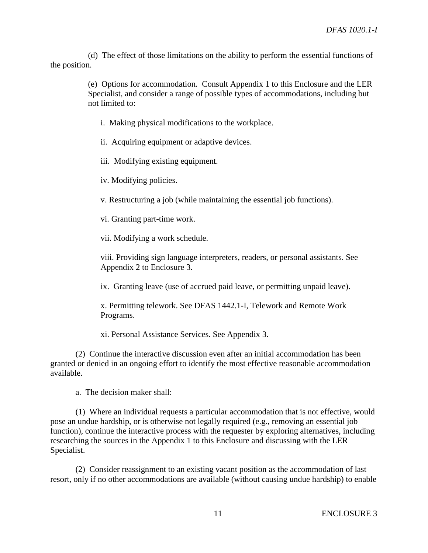(d) The effect of those limitations on the ability to perform the essential functions of the position.

> (e) Options for accommodation. Consult Appendix 1 to this Enclosure and the LER Specialist, and consider a range of possible types of accommodations, including but not limited to:

i. Making physical modifications to the workplace.

ii. Acquiring equipment or adaptive devices.

iii. Modifying existing equipment.

iv. Modifying policies.

v. Restructuring a job (while maintaining the essential job functions).

vi. Granting part-time work.

vii. Modifying a work schedule.

viii. Providing sign language interpreters, readers, or personal assistants. See Appendix 2 to Enclosure 3.

ix. Granting leave (use of accrued paid leave, or permitting unpaid leave).

x. Permitting telework. See DFAS 1442.1-I, Telework and Remote Work Programs.

xi. Personal Assistance Services. See Appendix 3.

(2) Continue the interactive discussion even after an initial accommodation has been granted or denied in an ongoing effort to identify the most effective reasonable accommodation available.

a. The decision maker shall:

(1) Where an individual requests a particular accommodation that is not effective, would pose an undue hardship, or is otherwise not legally required (e.g., removing an essential job function), continue the interactive process with the requester by exploring alternatives, including researching the sources in the Appendix 1 to this Enclosure and discussing with the LER Specialist.

(2) Consider reassignment to an existing vacant position as the accommodation of last resort, only if no other accommodations are available (without causing undue hardship) to enable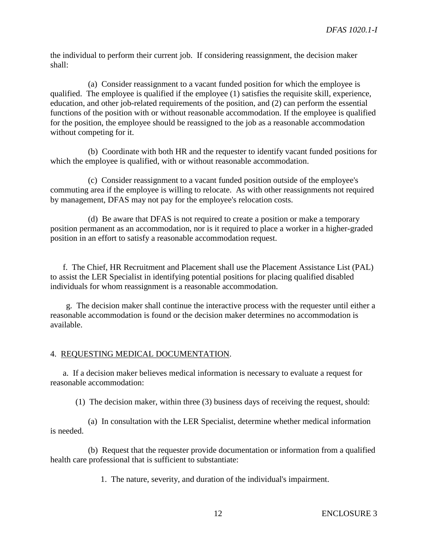the individual to perform their current job. If considering reassignment, the decision maker shall:

(a) Consider reassignment to a vacant funded position for which the employee is qualified. The employee is qualified if the employee (1) satisfies the requisite skill, experience, education, and other job-related requirements of the position, and (2) can perform the essential functions of the position with or without reasonable accommodation. If the employee is qualified for the position, the employee should be reassigned to the job as a reasonable accommodation without competing for it.

(b) Coordinate with both HR and the requester to identify vacant funded positions for which the employee is qualified, with or without reasonable accommodation.

(c) Consider reassignment to a vacant funded position outside of the employee's commuting area if the employee is willing to relocate. As with other reassignments not required by management, DFAS may not pay for the employee's relocation costs.

(d) Be aware that DFAS is not required to create a position or make a temporary position permanent as an accommodation, nor is it required to place a worker in a higher-graded position in an effort to satisfy a reasonable accommodation request.

f. The Chief, HR Recruitment and Placement shall use the Placement Assistance List (PAL) to assist the LER Specialist in identifying potential positions for placing qualified disabled individuals for whom reassignment is a reasonable accommodation.

g. The decision maker shall continue the interactive process with the requester until either a reasonable accommodation is found or the decision maker determines no accommodation is available.

## 4. REQUESTING MEDICAL DOCUMENTATION.

a. If a decision maker believes medical information is necessary to evaluate a request for reasonable accommodation:

(1) The decision maker, within three (3) business days of receiving the request, should:

(a) In consultation with the LER Specialist, determine whether medical information is needed.

 (b) Request that the requester provide documentation or information from a qualified health care professional that is sufficient to substantiate:

1. The nature, severity, and duration of the individual's impairment.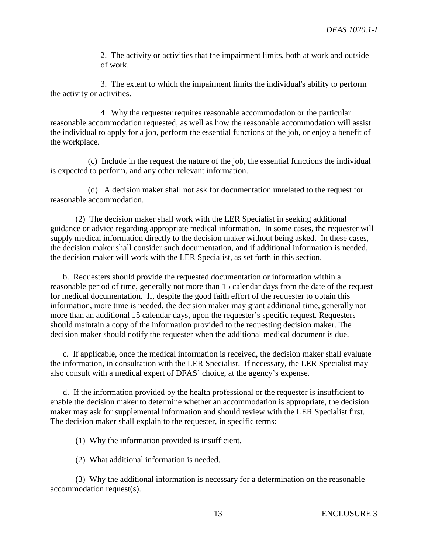2. The activity or activities that the impairment limits, both at work and outside of work.

3. The extent to which the impairment limits the individual's ability to perform the activity or activities.

4. Why the requester requires reasonable accommodation or the particular reasonable accommodation requested, as well as how the reasonable accommodation will assist the individual to apply for a job, perform the essential functions of the job, or enjoy a benefit of the workplace.

(c) Include in the request the nature of the job, the essential functions the individual is expected to perform, and any other relevant information.

(d) A decision maker shall not ask for documentation unrelated to the request for reasonable accommodation.

(2) The decision maker shall work with the LER Specialist in seeking additional guidance or advice regarding appropriate medical information. In some cases, the requester will supply medical information directly to the decision maker without being asked. In these cases, the decision maker shall consider such documentation, and if additional information is needed, the decision maker will work with the LER Specialist, as set forth in this section.

b. Requesters should provide the requested documentation or information within a reasonable period of time, generally not more than 15 calendar days from the date of the request for medical documentation. If, despite the good faith effort of the requester to obtain this information, more time is needed, the decision maker may grant additional time, generally not more than an additional 15 calendar days, upon the requester's specific request. Requesters should maintain a copy of the information provided to the requesting decision maker. The decision maker should notify the requester when the additional medical document is due.

c. If applicable, once the medical information is received, the decision maker shall evaluate the information, in consultation with the LER Specialist. If necessary, the LER Specialist may also consult with a medical expert of DFAS' choice, at the agency's expense.

d. If the information provided by the health professional or the requester is insufficient to enable the decision maker to determine whether an accommodation is appropriate, the decision maker may ask for supplemental information and should review with the LER Specialist first. The decision maker shall explain to the requester, in specific terms:

(1) Why the information provided is insufficient.

(2) What additional information is needed.

(3) Why the additional information is necessary for a determination on the reasonable accommodation request(s).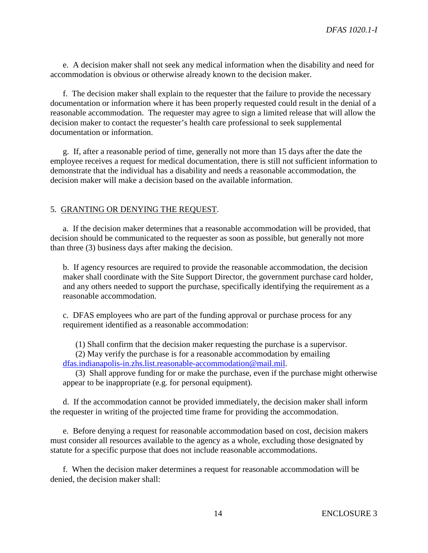e. A decision maker shall not seek any medical information when the disability and need for accommodation is obvious or otherwise already known to the decision maker.

f. The decision maker shall explain to the requester that the failure to provide the necessary documentation or information where it has been properly requested could result in the denial of a reasonable accommodation. The requester may agree to sign a limited release that will allow the decision maker to contact the requester's health care professional to seek supplemental documentation or information.

g. If, after a reasonable period of time, generally not more than 15 days after the date the employee receives a request for medical documentation, there is still not sufficient information to demonstrate that the individual has a disability and needs a reasonable accommodation, the decision maker will make a decision based on the available information.

## 5. GRANTING OR DENYING THE REQUEST.

a. If the decision maker determines that a reasonable accommodation will be provided, that decision should be communicated to the requester as soon as possible, but generally not more than three (3) business days after making the decision.

b. If agency resources are required to provide the reasonable accommodation, the decision maker shall coordinate with the Site Support Director, the government purchase card holder, and any others needed to support the purchase, specifically identifying the requirement as a reasonable accommodation.

c. DFAS employees who are part of the funding approval or purchase process for any requirement identified as a reasonable accommodation:

(1) Shall confirm that the decision maker requesting the purchase is a supervisor.

(2) May verify the purchase is for a reasonable accommodation by emailing [dfas.indianapolis-in.zhs.list.reasonable-accommodation@mail.mil.](mailto:dfas.indianapolis-in.zhs.list.reasonable-accommodation@mail.mil)

(3) Shall approve funding for or make the purchase, even if the purchase might otherwise appear to be inappropriate (e.g. for personal equipment).

d. If the accommodation cannot be provided immediately, the decision maker shall inform the requester in writing of the projected time frame for providing the accommodation.

e. Before denying a request for reasonable accommodation based on cost, decision makers must consider all resources available to the agency as a whole, excluding those designated by statute for a specific purpose that does not include reasonable accommodations.

f. When the decision maker determines a request for reasonable accommodation will be denied, the decision maker shall: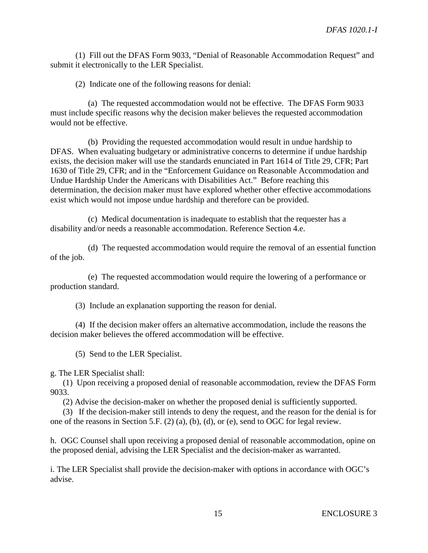(1) Fill out the DFAS Form 9033, "Denial of Reasonable Accommodation Request" and submit it electronically to the LER Specialist.

(2) Indicate one of the following reasons for denial:

(a) The requested accommodation would not be effective. The DFAS Form 9033 must include specific reasons why the decision maker believes the requested accommodation would not be effective.

(b) Providing the requested accommodation would result in undue hardship to DFAS. When evaluating budgetary or administrative concerns to determine if undue hardship exists, the decision maker will use the standards enunciated in Part 1614 of Title 29, CFR; Part 1630 of Title 29, CFR; and in the "Enforcement Guidance on Reasonable Accommodation and Undue Hardship Under the Americans with Disabilities Act." Before reaching this determination, the decision maker must have explored whether other effective accommodations exist which would not impose undue hardship and therefore can be provided.

(c) Medical documentation is inadequate to establish that the requester has a disability and/or needs a reasonable accommodation. Reference Section 4.e.

(d) The requested accommodation would require the removal of an essential function of the job.

(e) The requested accommodation would require the lowering of a performance or production standard.

(3) Include an explanation supporting the reason for denial.

(4) If the decision maker offers an alternative accommodation, include the reasons the decision maker believes the offered accommodation will be effective.

(5) Send to the LER Specialist.

g. The LER Specialist shall:

(1) Upon receiving a proposed denial of reasonable accommodation, review the DFAS Form 9033.

(2) Advise the decision-maker on whether the proposed denial is sufficiently supported.

 (3) If the decision-maker still intends to deny the request, and the reason for the denial is for one of the reasons in Section 5.F. (2) (a), (b), (d), or (e), send to OGC for legal review.

h. OGC Counsel shall upon receiving a proposed denial of reasonable accommodation, opine on the proposed denial, advising the LER Specialist and the decision-maker as warranted.

i. The LER Specialist shall provide the decision-maker with options in accordance with OGC's advise.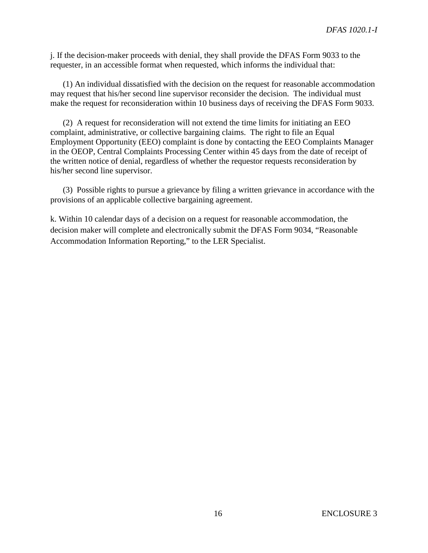j. If the decision-maker proceeds with denial, they shall provide the DFAS Form 9033 to the requester, in an accessible format when requested, which informs the individual that:

(1) An individual dissatisfied with the decision on the request for reasonable accommodation may request that his/her second line supervisor reconsider the decision. The individual must make the request for reconsideration within 10 business days of receiving the DFAS Form 9033.

(2) A request for reconsideration will not extend the time limits for initiating an EEO complaint, administrative, or collective bargaining claims. The right to file an Equal Employment Opportunity (EEO) complaint is done by contacting the EEO Complaints Manager in the OEOP, Central Complaints Processing Center within 45 days from the date of receipt of the written notice of denial, regardless of whether the requestor requests reconsideration by his/her second line supervisor.

(3) Possible rights to pursue a grievance by filing a written grievance in accordance with the provisions of an applicable collective bargaining agreement.

k. Within 10 calendar days of a decision on a request for reasonable accommodation, the decision maker will complete and electronically submit the DFAS Form 9034, "Reasonable Accommodation Information Reporting," to the LER Specialist.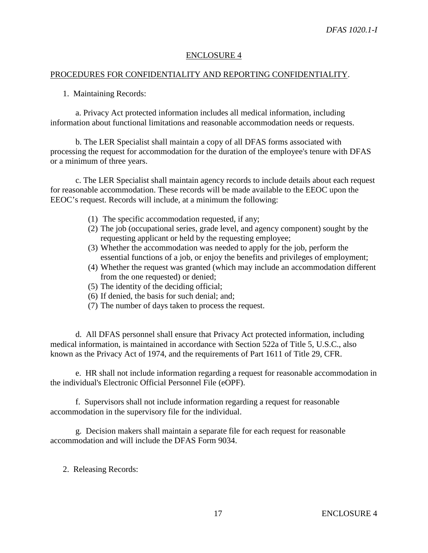## ENCLOSURE 4

## PROCEDURES FOR CONFIDENTIALITY AND REPORTING CONFIDENTIALITY.

#### 1. Maintaining Records:

a. Privacy Act protected information includes all medical information, including information about functional limitations and reasonable accommodation needs or requests.

b. The LER Specialist shall maintain a copy of all DFAS forms associated with processing the request for accommodation for the duration of the employee's tenure with DFAS or a minimum of three years.

c. The LER Specialist shall maintain agency records to include details about each request for reasonable accommodation. These records will be made available to the EEOC upon the EEOC's request. Records will include, at a minimum the following:

- (1) The specific accommodation requested, if any;
- (2) The job (occupational series, grade level, and agency component) sought by the requesting applicant or held by the requesting employee;
- (3) Whether the accommodation was needed to apply for the job, perform the essential functions of a job, or enjoy the benefits and privileges of employment;
- (4) Whether the request was granted (which may include an accommodation different from the one requested) or denied;
- (5) The identity of the deciding official;
- (6) If denied, the basis for such denial; and;
- (7) The number of days taken to process the request.

d. All DFAS personnel shall ensure that Privacy Act protected information, including medical information, is maintained in accordance with Section 522a of Title 5, U.S.C., also known as the Privacy Act of 1974, and the requirements of Part 1611 of Title 29, CFR.

e. HR shall not include information regarding a request for reasonable accommodation in the individual's Electronic Official Personnel File (eOPF).

f. Supervisors shall not include information regarding a request for reasonable accommodation in the supervisory file for the individual.

g. Decision makers shall maintain a separate file for each request for reasonable accommodation and will include the DFAS Form 9034.

2. Releasing Records: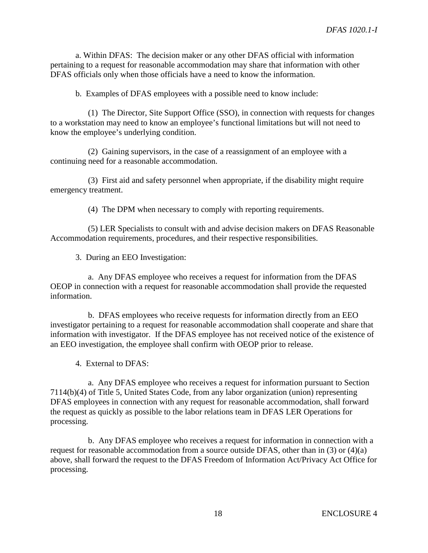a. Within DFAS: The decision maker or any other DFAS official with information pertaining to a request for reasonable accommodation may share that information with other DFAS officials only when those officials have a need to know the information.

b. Examples of DFAS employees with a possible need to know include:

(1) The Director, Site Support Office (SSO), in connection with requests for changes to a workstation may need to know an employee's functional limitations but will not need to know the employee's underlying condition.

(2) Gaining supervisors, in the case of a reassignment of an employee with a continuing need for a reasonable accommodation.

(3) First aid and safety personnel when appropriate, if the disability might require emergency treatment.

(4) The DPM when necessary to comply with reporting requirements.

(5) LER Specialists to consult with and advise decision makers on DFAS Reasonable Accommodation requirements, procedures, and their respective responsibilities.

3. During an EEO Investigation:

a. Any DFAS employee who receives a request for information from the DFAS OEOP in connection with a request for reasonable accommodation shall provide the requested information.

b. DFAS employees who receive requests for information directly from an EEO investigator pertaining to a request for reasonable accommodation shall cooperate and share that information with investigator. If the DFAS employee has not received notice of the existence of an EEO investigation, the employee shall confirm with OEOP prior to release.

4. External to DFAS:

a. Any DFAS employee who receives a request for information pursuant to Section 7114(b)(4) of Title 5, United States Code, from any labor organization (union) representing DFAS employees in connection with any request for reasonable accommodation, shall forward the request as quickly as possible to the labor relations team in DFAS LER Operations for processing.

b. Any DFAS employee who receives a request for information in connection with a request for reasonable accommodation from a source outside DFAS, other than in (3) or (4)(a) above, shall forward the request to the DFAS Freedom of Information Act/Privacy Act Office for processing.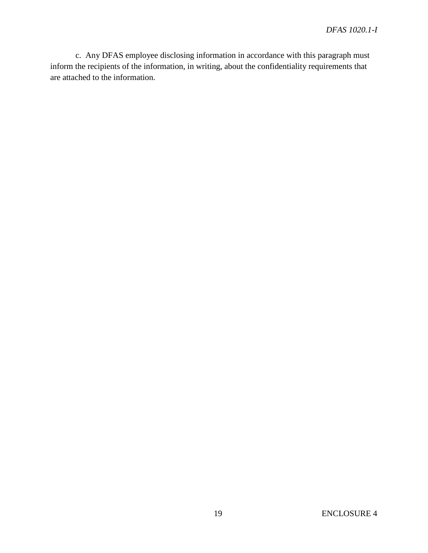c. Any DFAS employee disclosing information in accordance with this paragraph must inform the recipients of the information, in writing, about the confidentiality requirements that are attached to the information.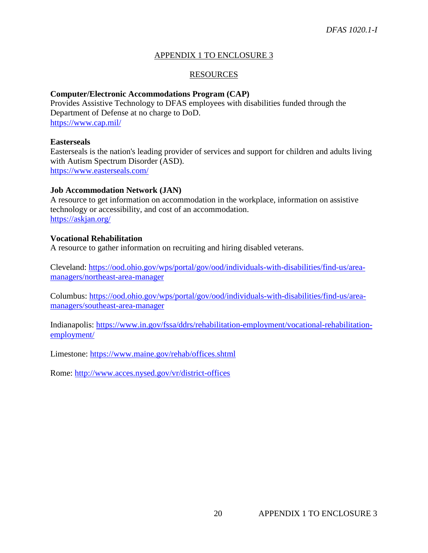## APPENDIX 1 TO ENCLOSURE 3

## RESOURCES

## **Computer/Electronic Accommodations Program (CAP)**

Provides Assistive Technology to DFAS employees with disabilities funded through the Department of Defense at no charge to DoD. <https://www.cap.mil/>

## **Easterseals**

Easterseals is the nation's leading provider of services and support for children and adults living with Autism Spectrum Disorder (ASD). <https://www.easterseals.com/>

## **Job Accommodation Network (JAN)**

A resource to get information on accommodation in the workplace, information on assistive technology or accessibility, and cost of an accommodation. <https://askjan.org/>

## **Vocational Rehabilitation**

A resource to gather information on recruiting and hiring disabled veterans.

Cleveland: [https://ood.ohio.gov/wps/portal/gov/ood/individuals-with-disabilities/find-us/area](https://ood.ohio.gov/wps/portal/gov/ood/individuals-with-disabilities/find-us/area-managers/northeast-area-manager)[managers/northeast-area-manager](https://ood.ohio.gov/wps/portal/gov/ood/individuals-with-disabilities/find-us/area-managers/northeast-area-manager)

Columbus: [https://ood.ohio.gov/wps/portal/gov/ood/individuals-with-disabilities/find-us/area](https://ood.ohio.gov/wps/portal/gov/ood/individuals-with-disabilities/find-us/area-managers/southeast-area-manager)[managers/southeast-area-manager](https://ood.ohio.gov/wps/portal/gov/ood/individuals-with-disabilities/find-us/area-managers/southeast-area-manager)

Indianapolis: [https://www.in.gov/fssa/ddrs/rehabilitation-employment/vocational-rehabilitation](https://www.in.gov/fssa/ddrs/rehabilitation-employment/vocational-rehabilitation-employment/)[employment/](https://www.in.gov/fssa/ddrs/rehabilitation-employment/vocational-rehabilitation-employment/)

Limestone:<https://www.maine.gov/rehab/offices.shtml>

Rome:<http://www.acces.nysed.gov/vr/district-offices>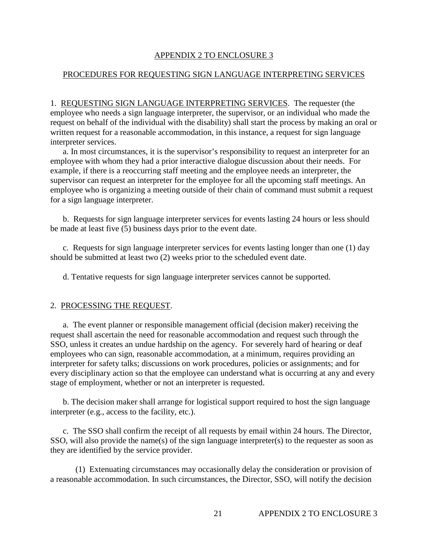## APPENDIX 2 TO ENCLOSURE 3

#### PROCEDURES FOR REQUESTING SIGN LANGUAGE INTERPRETING SERVICES

1. REQUESTING SIGN LANGUAGE INTERPRETING SERVICES. The requester (the employee who needs a sign language interpreter, the supervisor, or an individual who made the request on behalf of the individual with the disability) shall start the process by making an oral or written request for a reasonable accommodation, in this instance, a request for sign language interpreter services.

a. In most circumstances, it is the supervisor's responsibility to request an interpreter for an employee with whom they had a prior interactive dialogue discussion about their needs. For example, if there is a reoccurring staff meeting and the employee needs an interpreter, the supervisor can request an interpreter for the employee for all the upcoming staff meetings. An employee who is organizing a meeting outside of their chain of command must submit a request for a sign language interpreter.

b. Requests for sign language interpreter services for events lasting 24 hours or less should be made at least five (5) business days prior to the event date.

c. Requests for sign language interpreter services for events lasting longer than one (1) day should be submitted at least two (2) weeks prior to the scheduled event date.

d. Tentative requests for sign language interpreter services cannot be supported.

#### 2. PROCESSING THE REQUEST.

a. The event planner or responsible management official (decision maker) receiving the request shall ascertain the need for reasonable accommodation and request such through the SSO, unless it creates an undue hardship on the agency. For severely hard of hearing or deaf employees who can sign, reasonable accommodation, at a minimum, requires providing an interpreter for safety talks; discussions on work procedures, policies or assignments; and for every disciplinary action so that the employee can understand what is occurring at any and every stage of employment, whether or not an interpreter is requested.

b. The decision maker shall arrange for logistical support required to host the sign language interpreter (e.g., access to the facility, etc.).

c. The SSO shall confirm the receipt of all requests by email within 24 hours. The Director, SSO, will also provide the name(s) of the sign language interpreter(s) to the requester as soon as they are identified by the service provider.

(1) Extenuating circumstances may occasionally delay the consideration or provision of a reasonable accommodation. In such circumstances, the Director, SSO, will notify the decision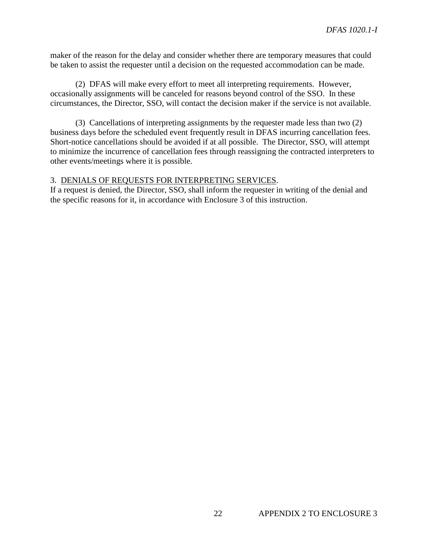maker of the reason for the delay and consider whether there are temporary measures that could be taken to assist the requester until a decision on the requested accommodation can be made.

(2) DFAS will make every effort to meet all interpreting requirements. However, occasionally assignments will be canceled for reasons beyond control of the SSO. In these circumstances, the Director, SSO, will contact the decision maker if the service is not available.

(3) Cancellations of interpreting assignments by the requester made less than two (2) business days before the scheduled event frequently result in DFAS incurring cancellation fees. Short-notice cancellations should be avoided if at all possible. The Director, SSO, will attempt to minimize the incurrence of cancellation fees through reassigning the contracted interpreters to other events/meetings where it is possible.

## 3. DENIALS OF REQUESTS FOR INTERPRETING SERVICES.

If a request is denied, the Director, SSO, shall inform the requester in writing of the denial and the specific reasons for it, in accordance with Enclosure 3 of this instruction.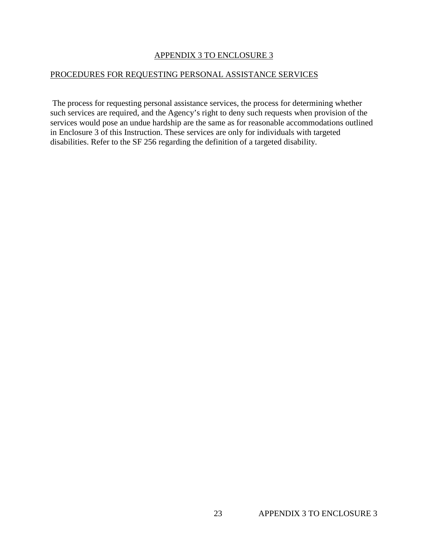## APPENDIX 3 TO ENCLOSURE 3

## PROCEDURES FOR REQUESTING PERSONAL ASSISTANCE SERVICES

The process for requesting personal assistance services, the process for determining whether such services are required, and the Agency's right to deny such requests when provision of the services would pose an undue hardship are the same as for reasonable accommodations outlined in Enclosure 3 of this Instruction. These services are only for individuals with targeted disabilities. Refer to the SF 256 regarding the definition of a targeted disability.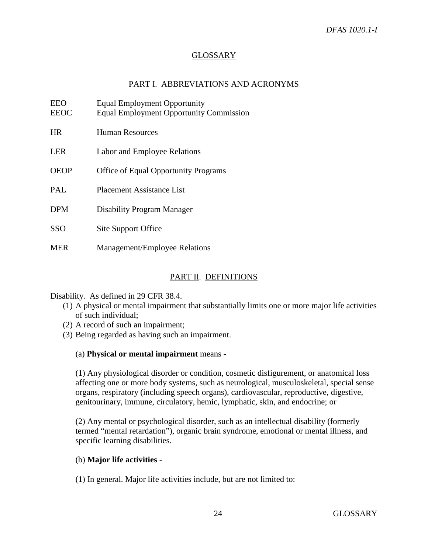## GLOSSARY

## PART I. ABBREVIATIONS AND ACRONYMS

- EEO Equal Employment Opportunity
- EEOC Equal Employment Opportunity Commission
- HR Human Resources
- LER Labor and Employee Relations
- OEOP Office of Equal Opportunity Programs
- PAL Placement Assistance List
- DPM Disability Program Manager
- SSO Site Support Office
- MER Management/Employee Relations

## PART II. DEFINITIONS

## Disability. As defined in 29 CFR 38.4.

- (1) A physical or mental impairment that substantially limits one or more major life activities of such individual;
- (2) A record of such an impairment;
- (3) Being regarded as having such an impairment.

#### (a) **Physical or mental impairment** means -

(1) Any physiological disorder or condition, cosmetic disfigurement, or anatomical loss affecting one or more body systems, such as neurological, musculoskeletal, special sense organs, respiratory (including speech organs), cardiovascular, reproductive, digestive, genitourinary, immune, circulatory, hemic, lymphatic, skin, and endocrine; or

(2) Any mental or psychological disorder, such as an intellectual disability (formerly termed "mental retardation"), organic brain syndrome, emotional or mental illness, and specific learning disabilities.

## (b) **Major life activities** -

(1) In general. Major life activities include, but are not limited to: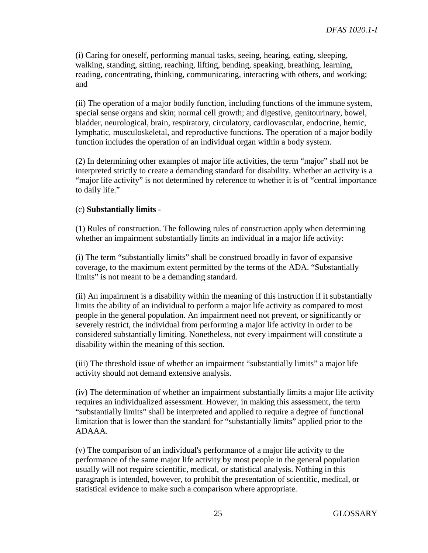(i) Caring for oneself, performing manual tasks, seeing, hearing, eating, sleeping, walking, standing, sitting, reaching, lifting, bending, speaking, breathing, learning, reading, concentrating, thinking, communicating, interacting with others, and working; and

(ii) The operation of a major bodily function, including functions of the immune system, special sense organs and skin; normal cell growth; and digestive, genitourinary, bowel, bladder, neurological, brain, respiratory, circulatory, cardiovascular, endocrine, hemic, lymphatic, musculoskeletal, and reproductive functions. The operation of a major bodily function includes the operation of an individual organ within a body system.

(2) In determining other examples of major life activities, the term "major" shall not be interpreted strictly to create a demanding standard for disability. Whether an activity is a "major life activity" is not determined by reference to whether it is of "central importance to daily life."

## (c) **Substantially limits** -

(1) Rules of construction. The following rules of construction apply when determining whether an impairment substantially limits an individual in a major life activity:

(i) The term "substantially limits" shall be construed broadly in favor of expansive coverage, to the maximum extent permitted by the terms of the ADA. "Substantially limits" is not meant to be a demanding standard.

(ii) An impairment is a disability within the meaning of this instruction if it substantially limits the ability of an individual to perform a major life activity as compared to most people in the general population. An impairment need not prevent, or significantly or severely restrict, the individual from performing a major life activity in order to be considered substantially limiting. Nonetheless, not every impairment will constitute a disability within the meaning of this section.

(iii) The threshold issue of whether an impairment "substantially limits" a major life activity should not demand extensive analysis.

(iv) The determination of whether an impairment substantially limits a major life activity requires an individualized assessment. However, in making this assessment, the term "substantially limits" shall be interpreted and applied to require a degree of functional limitation that is lower than the standard for "substantially limits" applied prior to the ADAAA.

(v) The comparison of an individual's performance of a major life activity to the performance of the same major life activity by most people in the general population usually will not require scientific, medical, or statistical analysis. Nothing in this paragraph is intended, however, to prohibit the presentation of scientific, medical, or statistical evidence to make such a comparison where appropriate.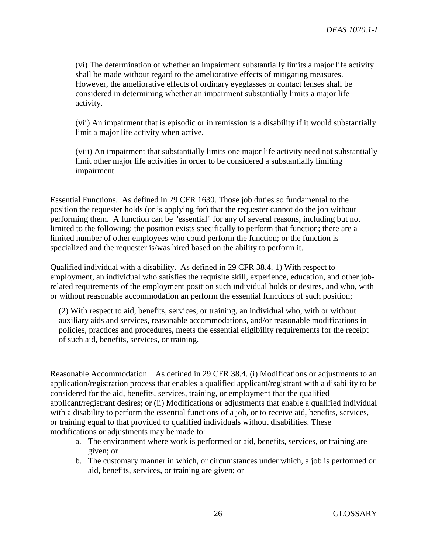(vi) The determination of whether an impairment substantially limits a major life activity shall be made without regard to the ameliorative effects of mitigating measures. However, the ameliorative effects of ordinary eyeglasses or contact lenses shall be considered in determining whether an impairment substantially limits a major life activity.

(vii) An impairment that is episodic or in remission is a disability if it would substantially limit a major life activity when active.

(viii) An impairment that substantially limits one major life activity need not substantially limit other major life activities in order to be considered a substantially limiting impairment.

Essential Functions. As defined in 29 CFR 1630. Those job duties so fundamental to the position the requester holds (or is applying for) that the requester cannot do the job without performing them. A function can be "essential" for any of several reasons, including but not limited to the following: the position exists specifically to perform that function; there are a limited number of other employees who could perform the function; or the function is specialized and the requester is/was hired based on the ability to perform it.

Qualified individual with a disability. As defined in 29 CFR 38.4. 1) With respect to employment, an individual who satisfies the requisite skill, experience, education, and other jobrelated requirements of the employment position such individual holds or desires, and who, with or without reasonable accommodation an perform the essential functions of such position;

(2) With respect to aid, benefits, services, or training, an individual who, with or without auxiliary aids and services, reasonable accommodations, and/or reasonable modifications in policies, practices and procedures, meets the essential eligibility requirements for the receipt of such aid, benefits, services, or training.

Reasonable Accommodation. As defined in 29 CFR 38.4. (i) Modifications or adjustments to an application/registration process that enables a qualified applicant/registrant with a disability to be considered for the aid, benefits, services, training, or employment that the qualified applicant/registrant desires; or (ii) Modifications or adjustments that enable a qualified individual with a disability to perform the essential functions of a job, or to receive aid, benefits, services, or training equal to that provided to qualified individuals without disabilities. These modifications or adjustments may be made to:

- a. The environment where work is performed or aid, benefits, services, or training are given; or
- b. The customary manner in which, or circumstances under which, a job is performed or aid, benefits, services, or training are given; or